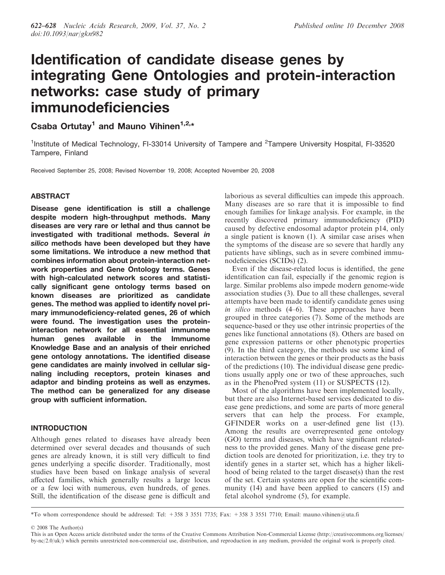# Identification of candidate disease genes by integrating Gene Ontologies and protein-interaction networks: case study of primary immunodeficiencies

Csaba Ortutay<sup>1</sup> and Mauno Vihinen<sup>1,2,\*</sup>

<sup>1</sup>Institute of Medical Technology, FI-33014 University of Tampere and <sup>2</sup>Tampere University Hospital, FI-33520 Tampere, Finland

Received September 25, 2008; Revised November 19, 2008; Accepted November 20, 2008

# ABSTRACT

Disease gene identification is still a challenge despite modern high-throughput methods. Many diseases are very rare or lethal and thus cannot be investigated with traditional methods. Several in silico methods have been developed but they have some limitations. We introduce a new method that combines information about protein-interaction network properties and Gene Ontology terms. Genes with high-calculated network scores and statistically significant gene ontology terms based on known diseases are prioritized as candidate genes. The method was applied to identify novel primary immunodeficiency-related genes, 26 of which were found. The investigation uses the proteininteraction network for all essential immunome human genes available in the Immunome Knowledge Base and an analysis of their enriched gene ontology annotations. The identified disease gene candidates are mainly involved in cellular signaling including receptors, protein kinases and adaptor and binding proteins as well as enzymes. The method can be generalized for any disease group with sufficient information.

# INTRODUCTION

Although genes related to diseases have already been determined over several decades and thousands of such genes are already known, it is still very difficult to find genes underlying a specific disorder. Traditionally, most studies have been based on linkage analysis of several affected families, which generally results a large locus or a few loci with numerous, even hundreds, of genes. Still, the identification of the disease gene is difficult and laborious as several difficulties can impede this approach. Many diseases are so rare that it is impossible to find enough families for linkage analysis. For example, in the recently discovered primary immunodeficiency (PID) caused by defective endosomal adaptor protein p14, only a single patient is known (1). A similar case arises when the symptoms of the disease are so severe that hardly any patients have siblings, such as in severe combined immunodeficiencies (SCIDs) (2).

Even if the disease-related locus is identified, the gene identification can fail, especially if the genomic region is large. Similar problems also impede modern genome-wide association studies (3). Due to all these challenges, several attempts have been made to identify candidate genes using in silico methods (4–6). These approaches have been grouped in three categories (7). Some of the methods are sequence-based or they use other intrinsic properties of the genes like functional annotations (8). Others are based on gene expression patterns or other phenotypic properties (9). In the third category, the methods use some kind of interaction between the genes or their products as the basis of the predictions (10). The individual disease gene predictions usually apply one or two of these approaches, such as in the PhenoPred system (11) or SUSPECTS (12).

Most of the algorithms have been implemented locally, but there are also Internet-based services dedicated to disease gene predictions, and some are parts of more general servers that can help the process. For example, GFINDER works on a user-defined gene list (13). Among the results are overrepresented gene ontology (GO) terms and diseases, which have significant relatedness to the provided genes. Many of the disease gene prediction tools are denoted for prioritization, i.e. they try to identify genes in a starter set, which has a higher likelihood of being related to the target disease(s) than the rest of the set. Certain systems are open for the scientific community (14) and have been applied to cancers (15) and fetal alcohol syndrome (5), for example.

\*To whom correspondence should be addressed: Tel: +358 3 3551 7735; Fax: +358 3 3551 7710; Email: mauno.vihinen@uta.fi

2008 The Author(s)

This is an Open Access article distributed under the terms of the Creative Commons Attribution Non-Commercial License (http://creativecommons.org/licenses/  $b$ y-nc/2.0/uk/) which permits unrestricted non-commercial use, distribution, and reproduction in any medium, provided the original work is properly cited.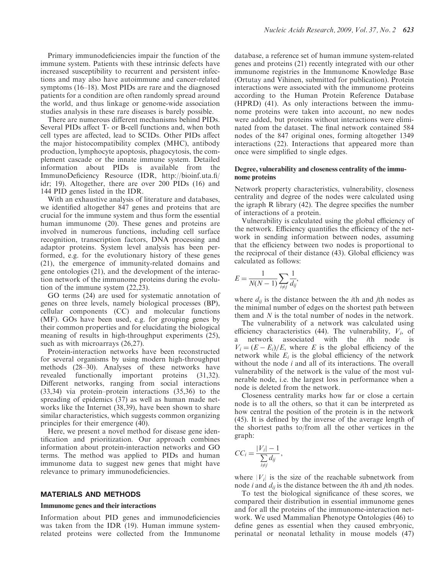Primary immunodeficiencies impair the function of the immune system. Patients with these intrinsic defects have increased susceptibility to recurrent and persistent infections and may also have autoimmune and cancer-related symptoms (16–18). Most PIDs are rare and the diagnosed patients for a condition are often randomly spread around the world, and thus linkage or genome-wide association studies analysis in these rare diseases is barely possible.

There are numerous different mechanisms behind PIDs. Several PIDs affect T- or B-cell functions and, when both cell types are affected, lead to SCIDs. Other PIDs affect the major histocompatibility complex (MHC), antibody production, lymphocyte apoptosis, phagocytosis, the complement cascade or the innate immune system. Detailed information about PIDs is available from the ImmunoDeficiency Resource (IDR, http://bioinf.uta.fi/ idr; 19). Altogether, there are over 200 PIDs (16) and 144 PID genes listed in the IDR.

With an exhaustive analysis of literature and databases, we identified altogether 847 genes and proteins that are crucial for the immune system and thus form the essential human immunome (20). These genes and proteins are involved in numerous functions, including cell surface recognition, transcription factors, DNA processing and adaptor proteins. System level analysis has been performed, e.g. for the evolutionary history of these genes (21), the emergence of immunity-related domains and gene ontologies (21), and the development of the interaction network of the immunome proteins during the evolution of the immune system (22,23).

GO terms (24) are used for systematic annotation of genes on three levels, namely biological processes (BP), cellular components (CC) and molecular functions (MF). GOs have been used, e.g. for grouping genes by their common properties and for elucidating the biological meaning of results in high-throughput experiments (25), such as with microarrays (26,27).

Protein-interaction networks have been reconstructed for several organisms by using modern high-throughput methods (28–30). Analyses of these networks have revealed functionally important proteins (31,32). Different networks, ranging from social interactions (33,34) via protein–protein interactions (35,36) to the spreading of epidemics (37) as well as human made networks like the Internet (38,39), have been shown to share similar characteristics, which suggests common organizing principles for their emergence (40).

Here, we present a novel method for disease gene identification and prioritization. Our approach combines information about protein-interaction networks and GO terms. The method was applied to PIDs and human immunome data to suggest new genes that might have relevance to primary immunodeficiencies.

### MATERIALS AND METHODS

#### Immunome genes and their interactions

Information about PID genes and immunodeficiencies was taken from the IDR (19). Human immune systemrelated proteins were collected from the Immunome database, a reference set of human immune system-related genes and proteins (21) recently integrated with our other immunome registries in the Immunome Knowledge Base (Ortutay and Vihinen, submitted for publication). Protein interactions were associated with the immunome proteins according to the Human Protein Reference Database (HPRD) (41). As only interactions between the immunome proteins were taken into account, no new nodes were added, but proteins without interactions were eliminated from the dataset. The final network contained 584 nodes of the 847 original ones, forming altogether 1349 interactions (22). Interactions that appeared more than once were simplified to single edges.

#### Degree, vulnerability and closeness centrality of the immunome proteins

Network property characteristics, vulnerability, closeness centrality and degree of the nodes were calculated using the igraph R library (42). The degree specifies the number of interactions of a protein.

Vulnerability is calculated using the global efficiency of the network. Efficiency quantifies the efficiency of the network in sending information between nodes, assuming that the efficiency between two nodes is proportional to the reciprocal of their distance (43). Global efficiency was calculated as follows:

$$
E = \frac{1}{N(N-1)} \sum_{i \neq j} \frac{1}{d_{ij}},
$$

where  $d_{ij}$  is the distance between the *i*th and *j*th nodes as the minimal number of edges on the shortest path between them and  $N$  is the total number of nodes in the network.

The vulnerability of a network was calculated using efficiency characteristics (44). The vulnerability,  $V_i$ , of a network associated with the ith node is  $V_i = (E - E_i)/E$ , where E is the global efficiency of the network while  $E_i$  is the global efficiency of the network without the node  $i$  and all of its interactions. The overall vulnerability of the network is the value of the most vulnerable node, i.e. the largest loss in performance when a node is deleted from the network.

Closeness centrality marks how far or close a certain node is to all the others, so that it can be interpreted as how central the position of the protein is in the network (45). It is defined by the inverse of the average length of the shortest paths to/from all the other vertices in the graph:

$$
CC_i = \frac{|V_i| - 1}{\sum_{i \neq j} d_{ij}},
$$

where  $|V_i|$  is the size of the reachable subnetwork from node *i* and  $d_{ij}$  is the distance between the *i*th and *j*th nodes.

To test the biological significance of these scores, we compared their distribution in essential immunome genes and for all the proteins of the immunome-interaction network. We used Mammalian Phenotype Ontologies (46) to define genes as essential when they caused embryonic, perinatal or neonatal lethality in mouse models (47)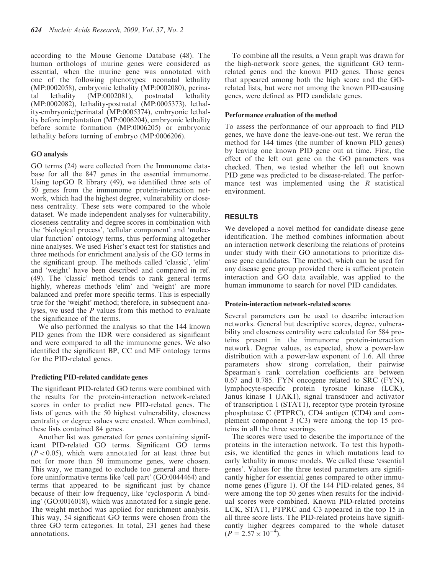according to the Mouse Genome Database (48). The human orthologs of murine genes were considered as essential, when the murine gene was annotated with one of the following phenotypes: neonatal lethality (MP:0002058), embryonic lethality (MP:0002080), perinatal lethality (MP:0002081), postnatal lethality (MP:0002082), lethality-postnatal (MP:0005373), lethality-embryonic/perinatal (MP:0005374), embryonic lethality before implantation (MP:0006204), embryonic lethality before somite formation (MP:0006205) or embryonic lethality before turning of embryo (MP:0006206).

# GO analysis

GO terms (24) were collected from the Immunome database for all the 847 genes in the essential immunome. Using topGO R library (49), we identified three sets of 50 genes from the immunome protein-interaction network, which had the highest degree, vulnerability or closeness centrality. These sets were compared to the whole dataset. We made independent analyses for vulnerability, closeness centrality and degree scores in combination with the 'biological process', 'cellular component' and 'molecular function' ontology terms, thus performing altogether nine analyses. We used Fisher's exact test for statistics and three methods for enrichment analysis of the GO terms in the significant group. The methods called 'classic', 'elim' and 'weight' have been described and compared in ref. (49). The 'classic' method tends to rank general terms highly, whereas methods 'elim' and 'weight' are more balanced and prefer more specific terms. This is especially true for the 'weight' method; therefore, in subsequent analyses, we used the P values from this method to evaluate the significance of the terms.

We also performed the analysis so that the 144 known PID genes from the IDR were considered as significant and were compared to all the immunome genes. We also identified the significant BP, CC and MF ontology terms for the PID-related genes.

# Predicting PID-related candidate genes

The significant PID-related GO terms were combined with the results for the protein-interaction network-related scores in order to predict new PID-related genes. The lists of genes with the 50 highest vulnerability, closeness centrality or degree values were created. When combined, these lists contained 84 genes.

Another list was generated for genes containing significant PID-related GO terms. Significant GO terms  $(P<0.05)$ , which were annotated for at least three but not for more than 50 immunome genes, were chosen. This way, we managed to exclude too general and therefore uninformative terms like 'cell part' (GO:0044464) and terms that appeared to be significant just by chance because of their low frequency, like 'cyclosporin A binding' (GO:0016018), which was annotated for a single gene. The weight method was applied for enrichment analysis. This way, 54 significant GO terms were chosen from the three GO term categories. In total, 231 genes had these annotations.

To combine all the results, a Venn graph was drawn for the high-network score genes, the significant GO termrelated genes and the known PID genes. Those genes that appeared among both the high score and the GOrelated lists, but were not among the known PID-causing genes, were defined as PID candidate genes.

#### Performance evaluation of the method

To assess the performance of our approach to find PID genes, we have done the leave-one-out test. We rerun the method for 144 times (the number of known PID genes) by leaving one known PID gene out at time. First, the effect of the left out gene on the GO parameters was checked. Then, we tested whether the left out known PID gene was predicted to be disease-related. The performance test was implemented using the  $R$  statistical environment.

# **RESULTS**

We developed a novel method for candidate disease gene identification. The method combines information about an interaction network describing the relations of proteins under study with their GO annotations to prioritize disease gene candidates. The method, which can be used for any disease gene group provided there is sufficient protein interaction and GO data available, was applied to the human immunome to search for novel PID candidates.

# Protein-interaction network-related scores

Several parameters can be used to describe interaction networks. General but descriptive scores, degree, vulnerability and closeness centrality were calculated for 584 proteins present in the immunome protein-interaction network. Degree values, as expected, show a power-law distribution with a power-law exponent of 1.6. All three parameters show strong correlation, their pairwise Spearman's rank correlation coefficients are between 0.67 and 0.785. FYN oncogene related to SRC (FYN), lymphocyte-specific protein tyrosine kinase (LCK), Janus kinase 1 (JAK1), signal transducer and activator of transcription 1 (STAT1), receptor type protein tyrosine phosphatase C (PTPRC), CD4 antigen (CD4) and complement component 3 (C3) were among the top 15 proteins in all the three scorings.

The scores were used to describe the importance of the proteins in the interaction network. To test this hypothesis, we identified the genes in which mutations lead to early lethality in mouse models. We called these 'essential genes'. Values for the three tested parameters are significantly higher for essential genes compared to other immunome genes (Figure 1). Of the 144 PID-related genes, 84 were among the top 50 genes when results for the individual scores were combined. Known PID-related proteins LCK, STAT1, PTPRC and C3 appeared in the top 15 in all three score lists. The PID-related proteins have significantly higher degrees compared to the whole dataset  $(P = 2.57 \times 10^{-4})$ .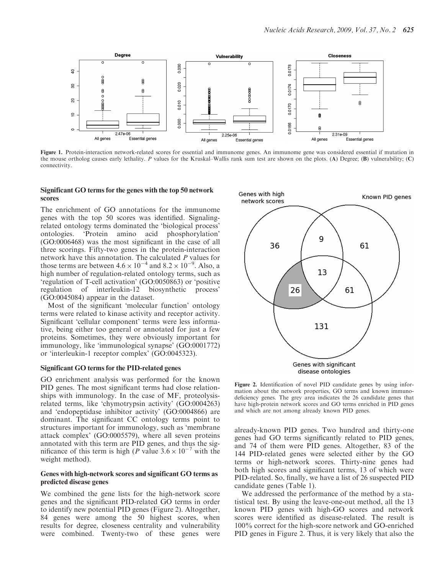

Figure 1. Protein-interaction network-related scores for essential and immunome genes. An immunome gene was considered essential if mutation in the mouse ortholog causes early lethality. P values for the Kruskal–Wallis rank sum test are shown on the plots. (A) Degree; (B) vulnerability; (C) connectivity.

#### Significant GO terms for the genes with the top 50 network scores

The enrichment of GO annotations for the immunome genes with the top 50 scores was identified. Signalingrelated ontology terms dominated the 'biological process' ontologies. 'Protein amino acid phosphorylation' (GO:0006468) was the most significant in the case of all three scorings. Fifty-two genes in the protein-interaction network have this annotation. The calculated P values for those terms are between  $4.6 \times 10^{-4}$  and  $8.2 \times 10^{-9}$ . Also, a high number of regulation-related ontology terms, such as 'regulation of T-cell activation' (GO:0050863) or 'positive regulation of interleukin-12 biosynthetic process' (GO:0045084) appear in the dataset.

Most of the significant 'molecular function' ontology terms were related to kinase activity and receptor activity. Significant 'cellular component' terms were less informative, being either too general or annotated for just a few proteins. Sometimes, they were obviously important for immunology, like 'immunological synapse' (GO:0001772) or 'interleukin-1 receptor complex' (GO:0045323).

# Significant GO terms for the PID-related genes

GO enrichment analysis was performed for the known PID genes. The most significant terms had close relationships with immunology. In the case of MF, proteolysisrelated terms, like 'chymotrypsin activity' (GO:0004263) and 'endopeptidase inhibitor activity' (GO:0004866) are dominant. The significant CC ontology terms point to structures important for immunology, such as 'membrane attack complex' (GO:0005579), where all seven proteins annotated with this term are PID genes, and thus the significance of this term is high (P value  $3.6 \times 10^{-7}$  with the weight method).

### Genes with high-network scores and significant GO terms as predicted disease genes

We combined the gene lists for the high-network score genes and the significant PID-related GO terms in order to identify new potential PID genes (Figure 2). Altogether, 84 genes were among the 50 highest scores, when results for degree, closeness centrality and vulnerability were combined. Twenty-two of these genes were



Figure 2. Identification of novel PID candidate genes by using information about the network properties, GO terms and known immunodeficiency genes. The grey area indicates the 26 candidate genes that have high-protein network scores and GO terms enriched in PID genes and which are not among already known PID genes.

already-known PID genes. Two hundred and thirty-one genes had GO terms significantly related to PID genes, and 74 of them were PID genes. Altogether, 83 of the 144 PID-related genes were selected either by the GO terms or high-network scores. Thirty-nine genes had both high scores and significant terms, 13 of which were PID-related. So, finally, we have a list of 26 suspected PID candidate genes (Table 1).

We addressed the performance of the method by a statistical test. By using the leave-one-out method, all the 13 known PID genes with high-GO scores and network scores were identified as disease-related. The result is 100% correct for the high-score network and GO-enriched PID genes in Figure 2. Thus, it is very likely that also the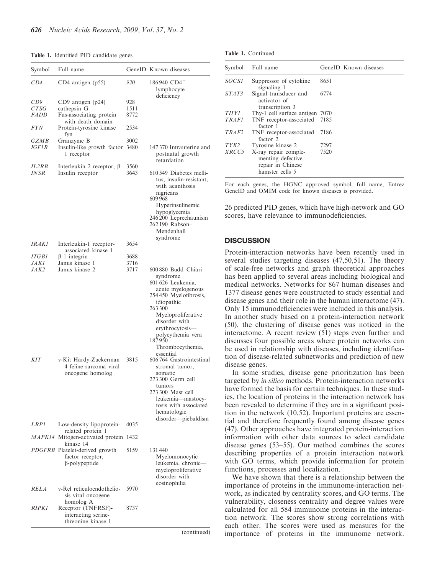#### Table 1. Identified PID candidate genes

| Symbol               | Full name                                                                        |              | GeneID Known diseases                                                                                                                                                                                                                                  |
|----------------------|----------------------------------------------------------------------------------|--------------|--------------------------------------------------------------------------------------------------------------------------------------------------------------------------------------------------------------------------------------------------------|
| CD4                  | CD4 antigen (p55)                                                                | 920          | 186940 $CD4^+$<br>lymphocyte                                                                                                                                                                                                                           |
| CD9                  | CD9 antigen (p24)                                                                | 928          | deficiency                                                                                                                                                                                                                                             |
| CTSG                 | cathepsin G                                                                      | 1511         |                                                                                                                                                                                                                                                        |
| FADD                 | Fas-associating protein                                                          | 8772         |                                                                                                                                                                                                                                                        |
| <i>FYN</i>           | with death domain<br>Protein-tyrosine kinase<br>fyn                              | 2534         |                                                                                                                                                                                                                                                        |
| GZMB<br><i>IGF1R</i> | Granzyme B<br>Insulin-like growth factor<br>1 receptor                           | 3002<br>3480 | 147 370 Intrauterine and<br>postnatal growth<br>retardation                                                                                                                                                                                            |
| IL2RB<br><b>INSR</b> | Interleukin 2 receptor, $\beta$<br>Insulin receptor                              | 3560<br>3643 | 610 549 Diabetes melli-<br>tus, insulin-resistant,<br>with acanthosis<br>nigricans<br>609 968<br>Hyperinsulinemic<br>hypoglycemia<br>246 200 Leprechaunism<br>262 190 Rabson-<br>Mendenhall<br>syndrome                                                |
| IRAKI                | Interleukin-1 receptor-                                                          | 3654         |                                                                                                                                                                                                                                                        |
| <i>ITGB1</i>         | associated kinase 1                                                              |              |                                                                                                                                                                                                                                                        |
| <b>JAK1</b>          | $\beta$ 1 integrin<br>Janus kinase 1                                             | 3688<br>3716 |                                                                                                                                                                                                                                                        |
| <i>JAK2</i>          | Janus kinase 2                                                                   | 3717         | 600 880 Budd-Chiari<br>syndrome<br>601 626 Leukemia,<br>acute myelogenous<br>254 450 Myelofibrosis,<br>idiopathic<br>263 300<br>Myeloproliferative<br>disorder with<br>erythrocytosis-<br>polycythemia vera<br>187950<br>Thrombocythemia,<br>essential |
| <b>KIT</b>           | v-Kit Hardy-Zuckerman<br>4 feline sarcoma viral<br>oncogene homolog              | 3815         | 606 764 Gastrointestinal<br>stromal tumor,<br>somatic<br>273 300 Germ cell<br>tumors<br>273 300 Mast cell<br>leukemia-mastocy-<br>tosis with associated<br>hematologic                                                                                 |
| <i>LRP1</i>          | Low-density lipoprotein-                                                         | 4035         | disorder—piebaldism                                                                                                                                                                                                                                    |
|                      | related protein 1<br>MAPK14 Mitogen-activated protein                            | 1432         |                                                                                                                                                                                                                                                        |
|                      | kinase 14<br>PDGFRB Platelet-derived growth<br>factor receptor,<br>β-polypeptide | 5159         | 131440<br>Myelomonocytic<br>leukemia, chronic-<br>myeloproliferative<br>disorder with                                                                                                                                                                  |
| <i>RELA</i>          | v-Rel reticuloendothelio-<br>sis viral oncogene                                  | 5970         | eosinophilia                                                                                                                                                                                                                                           |
| <i>RIPKI</i>         | homolog A<br>Receptor (TNFRSF)-<br>interacting serine-<br>threonine kinase 1     | 8737         |                                                                                                                                                                                                                                                        |

(continued)

Table 1. Continued

|              | Symbol Full name                                                                  | GeneID Known diseases |
|--------------|-----------------------------------------------------------------------------------|-----------------------|
| SOCS1        | Suppressor of cytokine<br>signaling 1                                             | 8651                  |
| STAT3        | Signal transducer and<br>activator of<br>transcription 3                          | 6774                  |
| <b>THY1</b>  | Thy-1 cell surface antigen 7070                                                   |                       |
| <b>TRAFI</b> | TNF receptor-associated 7185<br>factor 1                                          |                       |
| TRAF2        | TNF receptor-associated<br>factor 2                                               | 7186                  |
| TYK2         | Tyrosine kinase 2                                                                 | 7297                  |
| <i>XRCC5</i> | X-ray repair comple-<br>menting defective<br>repair in Chinese<br>hamster cells 5 | 7520                  |

For each genes, the HGNC approved symbol, full name, Entrez GeneID and OMIM code for known diseases is provided.

26 predicted PID genes, which have high-network and GO scores, have relevance to immunodeficiencies.

## **DISCUSSION**

Protein-interaction networks have been recently used in several studies targeting diseases (47,50,51). The theory of scale-free networks and graph theoretical approaches has been applied to several areas including biological and medical networks. Networks for 867 human diseases and 1377 disease genes were constructed to study essential and disease genes and their role in the human interactome (47). Only 15 immunodeficiencies were included in this analysis. In another study based on a protein-interaction network (50), the clustering of disease genes was noticed in the interactome. A recent review (51) steps even further and discusses four possible areas where protein networks can be used in relationship with diseases, including identification of disease-related subnetworks and prediction of new disease genes.

In some studies, disease gene prioritization has been targeted by in silico methods. Protein-interaction networks have formed the basis for certain techniques. In these studies, the location of proteins in the interaction network has been revealed to determine if they are in a significant position in the network (10,52). Important proteins are essential and therefore frequently found among disease genes (47). Other approaches have integrated protein-interaction information with other data sources to select candidate disease genes (53–55). Our method combines the scores describing properties of a protein interaction network with GO terms, which provide information for protein functions, processes and localization.

We have shown that there is a relationship between the importance of proteins in the immunome-interaction network, as indicated by centrality scores, and GO terms. The vulnerability, closeness centrality and degree values were calculated for all 584 immunome proteins in the interaction network. The scores show strong correlations with each other. The scores were used as measures for the importance of proteins in the immunome network.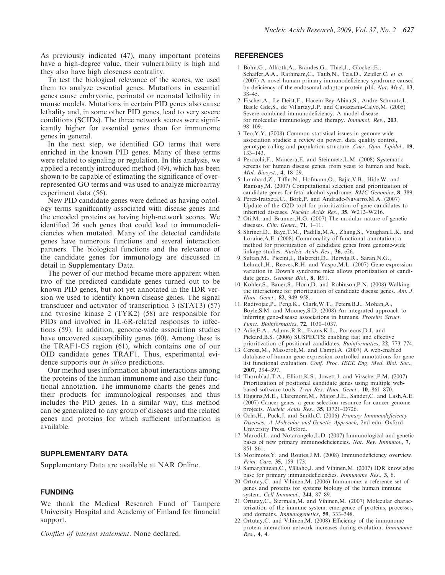As previously indicated (47), many important proteins have a high-degree value, their vulnerability is high and they also have high closeness centrality.

To test the biological relevance of the scores, we used them to analyze essential genes. Mutations in essential genes cause embryonic, perinatal or neonatal lethality in mouse models. Mutations in certain PID genes also cause lethality and, in some other PID genes, lead to very severe conditions (SCIDs). The three network scores were significantly higher for essential genes than for immunome genes in general.

In the next step, we identified GO terms that were enriched in the known PID genes. Many of these terms were related to signaling or regulation. In this analysis, we applied a recently introduced method (49), which has been shown to be capable of estimating the significance of overrepresented GO terms and was used to analyze microarray experiment data (56).

New PID candidate genes were defined as having ontology terms significantly associated with disease genes and the encoded proteins as having high-network scores. We identified 26 such genes that could lead to immunodeficiencies when mutated. Many of the detected candidate genes have numerous functions and several interaction partners. The biological functions and the relevance of the candidate genes for immunology are discussed in detail in Supplementary Data.

The power of our method became more apparent when two of the predicted candidate genes turned out to be known PID genes, but not yet annotated in the IDR version we used to identify known disease genes. The signal transducer and activator of transcription 3 (STAT3) (57) and tyrosine kinase 2 (TYK2) (58) are responsible for PIDs and involved in IL-6R-related responses to infections (59). In addition, genome-wide association studies have uncovered susceptibility genes (60). Among these is the TRAF1-C5 region (61), which contains one of our OID candidate genes TRAF1. Thus, experimental evidence supports our *in silico* predictions.

Our method uses information about interactions among the proteins of the human immunome and also their functional annotation. The immunome charts the genes and their products for immunological responses and thus includes the PID genes. In a similar way, this method can be generalized to any group of diseases and the related genes and proteins for which sufficient information is available.

# SUPPLEMENTARY DATA

Supplementary Data are available at NAR Online.

#### FUNDING

We thank the Medical Research Fund of Tampere University Hospital and Academy of Finland for financial support.

Conflict of interest statement. None declared.

#### **REFERENCES**

- 1. Bohn,G., Allroth,A., Brandes,G., Thiel,J., Glocker,E., Schaffer,A.A., Rathinam,C., Taub,N., Teis,D., Zeidler,C. et al. (2007) A novel human primary immunodeficiency syndrome caused by deficiency of the endosomal adaptor protein p14. Nat. Med., 13, 38–45.
- 2. Fischer,A., Le Deist,F., Hacein-Bey-Abina,S., Andre Schmutz,I., Basile Gde,S., de Villartay,J.P. and Cavazzana-Calvo,M. (2005) Severe combined immunodeficiency. A model disease for molecular immunology and therapy. Immunol. Rev., 203, 98–109.
- 3. Teo,Y.Y. (2008) Common statistical issues in genome-wide association studies: a review on power, data quality control, genotype calling and population structure. Curr. Opin. Lipidol., 19, 133–143.
- 4. Perocchi,F., Mancera,E. and Steinmetz,L.M. (2008) Systematic screens for human disease genes, from yeast to human and back. Mol. Biosyst., 4, 18–29.
- 5. Lombard,Z., Tiffin,N., Hofmann,O., Bajic,V.B., Hide,W. and Ramsay,M. (2007) Computational selection and prioritization of candidate genes for fetal alcohol syndrome. BMC Genomics, 8, 389.
- 6. Perez-Iratxeta,C., Bork,P. and Andrade-Navarro,M.A. (2007) Update of the G2D tool for prioritization of gene candidates to inherited diseases. Nucleic Acids Res., 35, W212–W216.
- 7. Oti,M. and Brunner,H.G. (2007) The modular nature of genetic diseases. Clin. Genet., 71, 1–11.
- 8. Shriner,D., Baye,T.M., Padilla,M.A., Zhang,S., Vaughan,L.K. and Loraine,A.E. (2008) Commonality of functional annotation: a method for prioritization of candidate genes from genome-wide linkage studies. Nucleic Acids Res., 36, e26.
- 9. Sultan,M., Piccini,I., Balzereit,D., Herwig,R., Saran,N.G., Lehrach,H., Reeves,R.H. and Yaspo,M.L. (2007) Gene expression variation in Down's syndrome mice allows prioritization of candidate genes. Genome Biol., 8, R91.
- 10. Kohler,S., Bauer,S., Horn,D. and Robinson,P.N. (2008) Walking the interactome for prioritization of candidate disease genes. Am. J. Hum. Genet., 82, 949–958.
- 11. Radivojac,P., Peng,K., Clark,W.T., Peters,B.J., Mohan,A., Boyle,S.M. and Mooney,S.D. (2008) An integrated approach to inferring gene-disease associations in humans. Proteins Struct. Funct. Bioinformatics, 72, 1030–1037.
- 12. Adie,E.A., Adams,R.R., Evans,K.L., Porteous,D.J. and Pickard,B.S. (2006) SUSPECTS: enabling fast and effective prioritization of positional candidates. Bioinformatics, 22, 773–774.
- 13. Ceresa,M., Masseroli,M. and Campi,A. (2007) A web-enabled database of human gene expression controlled annotations for gene list functional evaluation. Conf. Proc. IEEE Eng. Med. Biol. Soc., 2007, 394–397.
- 14. Thornblad,T.A., Elliott,K.S., Jowett,J. and Visscher,P.M. (2007) Prioritization of positional candidate genes using multiple webbased software tools. Twin Res. Hum. Genet., 10, 861–870.
- 15. Higgins,M.E., Claremont,M., Major,J.E., Sander,C. and Lash,A.E. (2007) Cancer genes: a gene selection resource for cancer genome projects. Nucleic Acids Res., 35, D721–D726.
- 16. Ochs,H., Puck,J. and Smith,C. (2006) Primary Immunodeficiency Diseases: A Molecular and Genetic Approach, 2nd edn. Oxford University Press, Oxford.
- 17. Marodi,L. and Notarangelo,L.D. (2007) Immunological and genetic bases of new primary immunodeficiencies. Nat. Rev. Immunol., 7, 851–861.
- 18. Morimoto,Y. and Routes,J.M. (2008) Immunodeficiency overview. Prim. Care, 35, 159–173.
- 19. Samarghitean, C., Väliaho, J. and Vihinen, M. (2007) IDR knowledge base for primary immunodeficiencies. Immunome Res., 3, 6.
- 20. Ortutay,C. and Vihinen,M. (2006) Immunome: a reference set of genes and proteins for systems biology of the human immune system. Cell Immunol., 244, 87–89.
- 21. Ortutay,C., Siermala,M. and Vihinen,M. (2007) Molecular characterization of the immune system: emergence of proteins, processes, and domains. Immunogenetics, 59, 333–348.
- 22. Ortutay,C. and Vihinen,M. (2008) Efficiency of the immunome protein interaction network increases during evolution. Immunome Res., 4, 4.